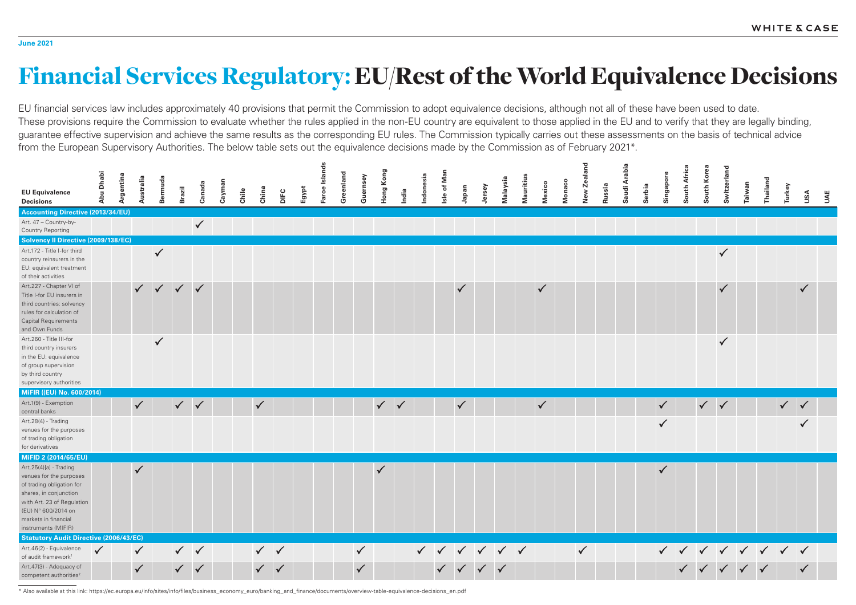## Financial Services Regulatory: EU/Rest of the World Equivalence Decisions

EU financial services law includes approximately 40 provisions that permit the Commission to adopt equivalence decisions, although not all of these have been used to date. These provisions require the Commission to evaluate whether the rules applied in the non-EU country are equivalent to those applied in the EU and to verify that they are legally binding, guarantee effective supervision and achieve the same results as the corresponding EU rules. The Commission typically carries out these assessments on the basis of technical advice from the European Supervisory Authorities. The below table sets out the equivalence decisions made by the Commission as of February 2021\*.



| <b>EU Equivalence</b><br><b>Decisions</b>                                                                                                                                                                    | Abu Dhabi    | Argentina | Australia                    | Bermuda      | <b>Brazil</b> | Canada       | Cayman | Chile | China        | DIFC         | Egypt | Faroe Islands | Greenland | Guernsey                     | Hong Kong    | India        | Indonesia | Isle of Man | Japan        | Jersey | Malaysia | Mauritius | Mexico       | Monaco | New Zealand  | Russia | Saudi Arabia | Serbia |
|--------------------------------------------------------------------------------------------------------------------------------------------------------------------------------------------------------------|--------------|-----------|------------------------------|--------------|---------------|--------------|--------|-------|--------------|--------------|-------|---------------|-----------|------------------------------|--------------|--------------|-----------|-------------|--------------|--------|----------|-----------|--------------|--------|--------------|--------|--------------|--------|
| <b>Accounting Directive (2013/34/EU)</b>                                                                                                                                                                     |              |           |                              |              |               |              |        |       |              |              |       |               |           |                              |              |              |           |             |              |        |          |           |              |        |              |        |              |        |
| Art. 47 - Country-by-<br><b>Country Reporting</b>                                                                                                                                                            |              |           |                              |              |               | $\checkmark$ |        |       |              |              |       |               |           |                              |              |              |           |             |              |        |          |           |              |        |              |        |              |        |
| Solvency Il Directive (2009/138/EC)                                                                                                                                                                          |              |           |                              |              |               |              |        |       |              |              |       |               |           |                              |              |              |           |             |              |        |          |           |              |        |              |        |              |        |
| Art.172 - Title I-for third<br>country reinsurers in the<br>EU: equivalent treatment<br>of their activities                                                                                                  |              |           |                              | $\checkmark$ |               |              |        |       |              |              |       |               |           |                              |              |              |           |             |              |        |          |           |              |        |              |        |              |        |
| Art.227 - Chapter VI of<br>Title I-for EU insurers in<br>third countries: solvency<br>rules for calculation of<br><b>Capital Requirements</b><br>and Own Funds                                               |              |           |                              | $\checkmark$ | $\checkmark$  | $\checkmark$ |        |       |              |              |       |               |           |                              |              |              |           |             | $\checkmark$ |        |          |           | $\checkmark$ |        |              |        |              |        |
| Art.260 - Title III-for<br>third country insurers<br>in the EU: equivalence<br>of group supervision<br>by third country<br>supervisory authorities                                                           |              |           |                              | $\checkmark$ |               |              |        |       |              |              |       |               |           |                              |              |              |           |             |              |        |          |           |              |        |              |        |              |        |
| MiFIR ((EU) No. 600/2014)                                                                                                                                                                                    |              |           |                              |              |               |              |        |       |              |              |       |               |           |                              |              |              |           |             |              |        |          |           |              |        |              |        |              |        |
| Art.1(9) - Exemption<br>central banks                                                                                                                                                                        |              |           | $\checkmark$                 |              | $\checkmark$  | $\checkmark$ |        |       | $\checkmark$ |              |       |               |           |                              | $\sqrt{2}$   | $\checkmark$ |           |             | $\checkmark$ |        |          |           | $\checkmark$ |        |              |        |              |        |
| Art.28(4) - Trading<br>venues for the purposes<br>of trading obligation<br>for derivatives                                                                                                                   |              |           |                              |              |               |              |        |       |              |              |       |               |           |                              |              |              |           |             |              |        |          |           |              |        |              |        |              |        |
| MiFID 2 (2014/65/EU)                                                                                                                                                                                         |              |           |                              |              |               |              |        |       |              |              |       |               |           |                              |              |              |           |             |              |        |          |           |              |        |              |        |              |        |
| Art.25(4)[a] - Trading<br>venues for the purposes<br>of trading obligation for<br>shares, in conjunction<br>with Art. 23 of Regulation<br>(EU) N° 600/2014 on<br>markets in financial<br>instruments (MIFIR) |              |           | $\checkmark$                 |              |               |              |        |       |              |              |       |               |           |                              | $\checkmark$ |              |           |             |              |        |          |           |              |        |              |        |              |        |
| <b>Statutory Audit Directive (2006/43/EC)</b><br>Art.46(2) - Equivalence                                                                                                                                     |              |           |                              |              |               |              |        |       |              |              |       |               |           |                              |              |              |           |             |              |        |          |           |              |        |              |        |              |        |
| of audit framework <sup>1</sup><br>Art.47(3) - Adequacy of<br>competent authorities <sup>2</sup>                                                                                                             | $\checkmark$ |           | $\checkmark$<br>$\checkmark$ |              | $\checkmark$  | $\sqrt{}$    |        |       | $\checkmark$ | $\checkmark$ |       |               |           | $\checkmark$<br>$\checkmark$ |              |              |           |             |              |        |          |           |              |        | $\checkmark$ |        |              |        |

\* Also available at this link: https://ec.europa.eu/info/sites/info/files/business\_economy\_euro/banking\_and\_finance/documents/overview-table-equivalence-decisions\_en.pdf

- 
-